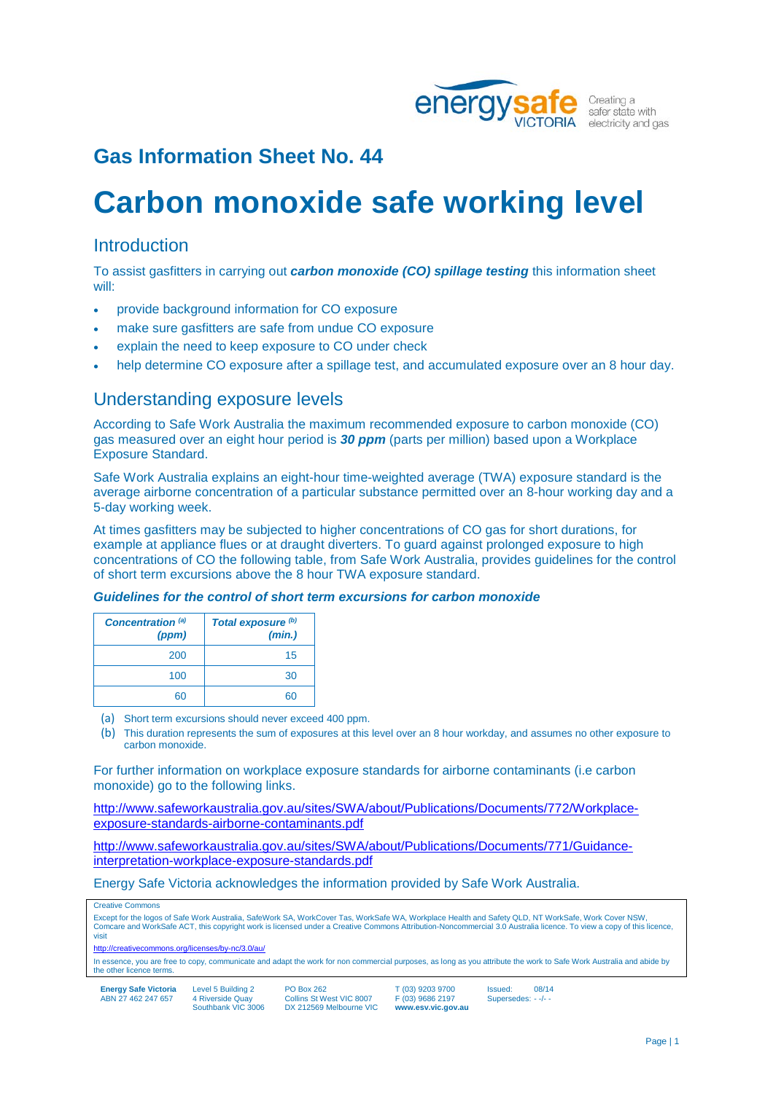

# **Carbon monoxide safe working level**

### **Introduction**

To assist gasfitters in carrying out *carbon monoxide (CO) spillage testing* this information sheet will:

- provide background information for CO exposure
- make sure gasfitters are safe from undue CO exposure
- explain the need to keep exposure to CO under check
- help determine CO exposure after a spillage test, and accumulated exposure over an 8 hour day.

### Understanding exposure levels

According to Safe Work Australia the maximum recommended exposure to carbon monoxide (CO) gas measured over an eight hour period is *30 ppm* (parts per million) based upon a Workplace Exposure Standard.

Safe Work Australia explains an eight-hour time-weighted average (TWA) exposure standard is the average airborne concentration of a particular substance permitted over an 8-hour working day and a 5-day working week.

At times gasfitters may be subjected to higher concentrations of CO gas for short durations, for example at appliance flues or at draught diverters. To guard against prolonged exposure to high concentrations of CO the following table, from Safe Work Australia, provides guidelines for the control of short term excursions above the 8 hour TWA exposure standard.

#### *Guidelines for the control of short term excursions for carbon monoxide*

| Concentration <sup>(a)</sup><br>(ppm) | Total exposure <sup>(b)</sup><br>(min.) |
|---------------------------------------|-----------------------------------------|
| 200                                   | 15                                      |
| 100                                   | 30                                      |
| 60                                    |                                         |

(a) Short term excursions should never exceed 400 ppm.

(b) This duration represents the sum of exposures at this level over an 8 hour workday, and assumes no other exposure to carbon monoxide.

For further information on workplace exposure standards for airborne contaminants (i.e carbon monoxide) go to the following links.

[http://www.safeworkaustralia.gov.au/sites/SWA/about/Publications/Documents/772/Workplace](http://www.safeworkaustralia.gov.au/sites/SWA/about/Publications/Documents/772/Workplace-exposure-standards-airborne-contaminants.pdf)[exposure-standards-airborne-contaminants.pdf](http://www.safeworkaustralia.gov.au/sites/SWA/about/Publications/Documents/772/Workplace-exposure-standards-airborne-contaminants.pdf)

[http://www.safeworkaustralia.gov.au/sites/SWA/about/Publications/Documents/771/Guidance](http://www.safeworkaustralia.gov.au/sites/SWA/about/Publications/Documents/771/Guidance-interpretation-workplace-exposure-standards.pdf)[interpretation-workplace-exposure-standards.pdf](http://www.safeworkaustralia.gov.au/sites/SWA/about/Publications/Documents/771/Guidance-interpretation-workplace-exposure-standards.pdf)

Energy Safe Victoria acknowledges the information provided by Safe Work Australia.

Creative Commons

Except for the logos of Safe Work Australia, SafeWork SA, WorkCover Tas, WorkSafe WA, Workplace Health and Safety QLD, NT WorkSafe, Work Cover NSW, Comcare and WorkSafe ACT, this copyright work is licensed under a Creative Commons Attribution-Noncommercial 3.0 Australia licence. To view a copy of this licence, visit

<http://creativecommons.org/licenses/by-nc/3.0/au/>

In essence, you are free to copy, communicate and adapt the work for non commercial purposes, as long as you attribute the work to Safe Work Australia and abide by the other licence terms.

| <b>Energy Safe Victoria</b> | Level 5 Building 2 | <b>PO Box 262</b>        |
|-----------------------------|--------------------|--------------------------|
| ABN 27 462 247 657          | 4 Riverside Quay   | Collins St West VIC 8007 |
|                             | Southbank VIC 3006 | DX 212569 Melbourne VIC  |

 $\mathbf{y}$  262 St West VIC 8007

T (03) 9203 9700 F (03) 9686 2197 **www.esv.vic.gov.au**

Issued: 08/14 Supersedes: - -/- -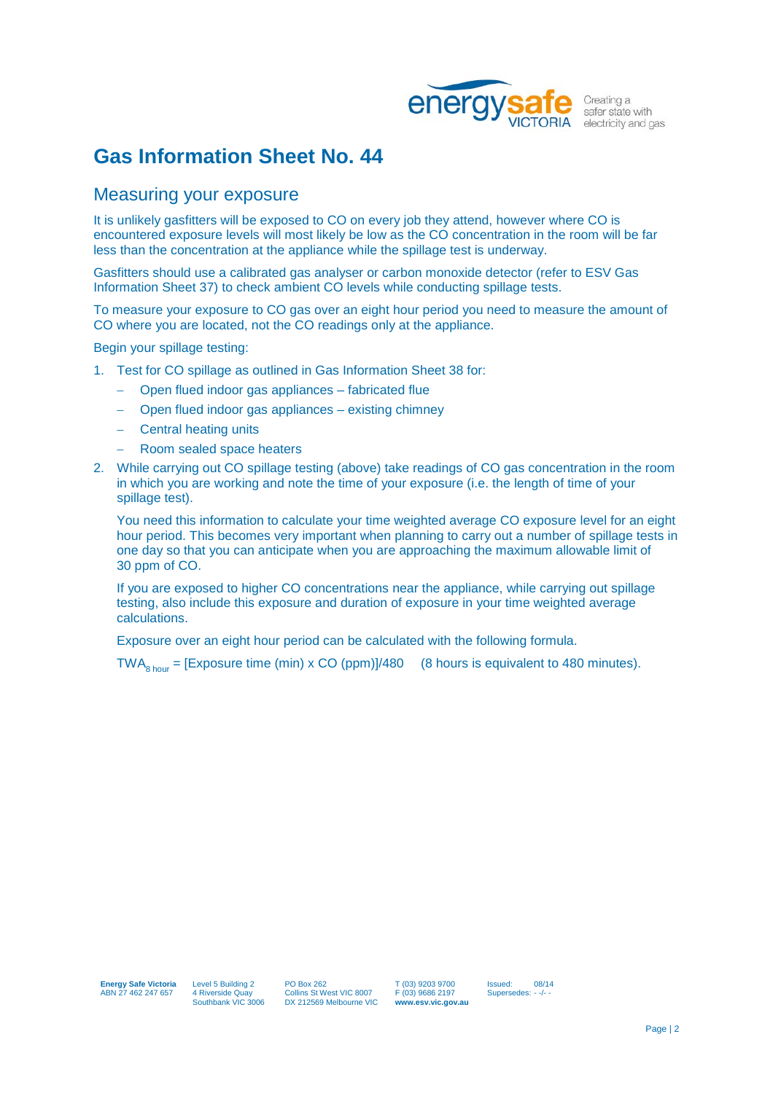

### Measuring your exposure

It is unlikely gasfitters will be exposed to CO on every job they attend, however where CO is encountered exposure levels will most likely be low as the CO concentration in the room will be far less than the concentration at the appliance while the spillage test is underway.

Gasfitters should use a calibrated gas analyser or carbon monoxide detector (refer to ESV Gas Information Sheet 37) to check ambient CO levels while conducting spillage tests.

To measure your exposure to CO gas over an eight hour period you need to measure the amount of CO where you are located, not the CO readings only at the appliance.

Begin your spillage testing:

- 1. Test for CO spillage as outlined in Gas Information Sheet 38 for:
	- − Open flued indoor gas appliances fabricated flue
	- − Open flued indoor gas appliances existing chimney
	- − Central heating units
	- − Room sealed space heaters
- 2. While carrying out CO spillage testing (above) take readings of CO gas concentration in the room in which you are working and note the time of your exposure (i.e. the length of time of your spillage test).

You need this information to calculate your time weighted average CO exposure level for an eight hour period. This becomes very important when planning to carry out a number of spillage tests in one day so that you can anticipate when you are approaching the maximum allowable limit of 30 ppm of CO.

If you are exposed to higher CO concentrations near the appliance, while carrying out spillage testing, also include this exposure and duration of exposure in your time weighted average calculations.

Exposure over an eight hour period can be calculated with the following formula.

TWA<sub>8 hour</sub> = [Exposure time (min) x CO (ppm)]/480 (8 hours is equivalent to 480 minutes).

T (03) 9203 9700  $F(03)$  9686 2197 **www.esv.vic.gov.au** Issued: 08/14 Supersedes: - -/-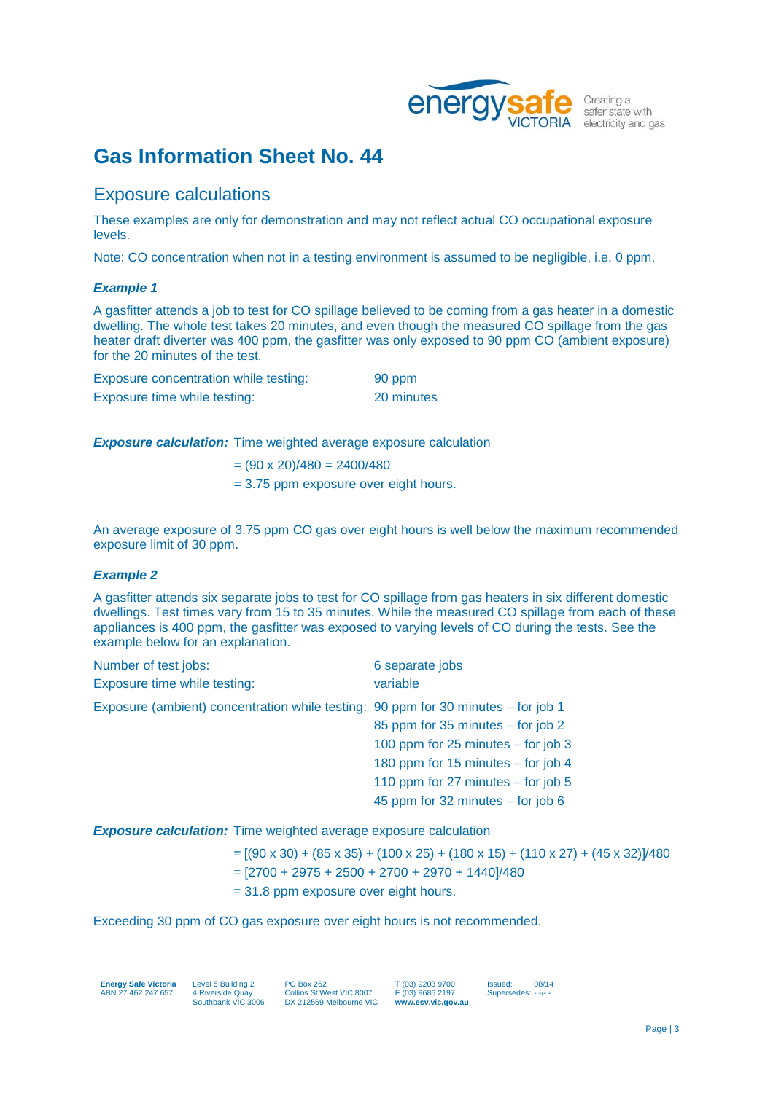

## Exposure calculations

These examples are only for demonstration and may not reflect actual CO occupational exposure levels.

Note: CO concentration when not in a testing environment is assumed to be negligible, i.e. 0 ppm.

#### *Example 1*

A gasfitter attends a job to test for CO spillage believed to be coming from a gas heater in a domestic dwelling. The whole test takes 20 minutes, and even though the measured CO spillage from the gas heater draft diverter was 400 ppm, the gasfitter was only exposed to 90 ppm CO (ambient exposure) for the 20 minutes of the test.

| Exposure concentration while testing: | 90 ppm     |
|---------------------------------------|------------|
| Exposure time while testing:          | 20 minutes |

**Exposure calculation:** Time weighted average exposure calculation

- $=(90 \times 20)/480 = 2400/480$
- = 3.75 ppm exposure over eight hours.

An average exposure of 3.75 ppm CO gas over eight hours is well below the maximum recommended exposure limit of 30 ppm.

#### *Example 2*

A gasfitter attends six separate jobs to test for CO spillage from gas heaters in six different domestic dwellings. Test times vary from 15 to 35 minutes. While the measured CO spillage from each of these appliances is 400 ppm, the gasfitter was exposed to varying levels of CO during the tests. See the example below for an explanation.

| Number of test jobs:                                                              | 6 separate jobs                      |
|-----------------------------------------------------------------------------------|--------------------------------------|
| Exposure time while testing:                                                      | variable                             |
| Exposure (ambient) concentration while testing: 90 ppm for 30 minutes – for job 1 |                                      |
|                                                                                   | 85 ppm for 35 minutes - for job 2    |
|                                                                                   | 100 ppm for 25 minutes $-$ for job 3 |
|                                                                                   | 180 ppm for 15 minutes - for job 4   |
|                                                                                   | 110 ppm for 27 minutes $-$ for job 5 |
|                                                                                   | 45 ppm for 32 minutes – for job 6    |

*Exposure calculation:* Time weighted average exposure calculation

- $= [(90 \times 30) + (85 \times 35) + (100 \times 25) + (180 \times 15) + (110 \times 27) + (45 \times 32)]/480$
- $=$  [2700 + 2975 + 2500 + 2700 + 2970 + 1440]/480
- = 31.8 ppm exposure over eight hours.

Exceeding 30 ppm of CO gas exposure over eight hours is not recommended.

**Energy Safe Victoria** ABN 27 462 247 657

Level 5 Building 2 4 Riverside Quay Southbank VIC 3006 PO Box 262 Collins St West VIC 8007 DX 212569 Melbourne VIC

T (03) 9203 9700  $F(03)$  9686 2197 **www.esv.vic.gov.au** Issued: 08/14 Supersedes: - -/-